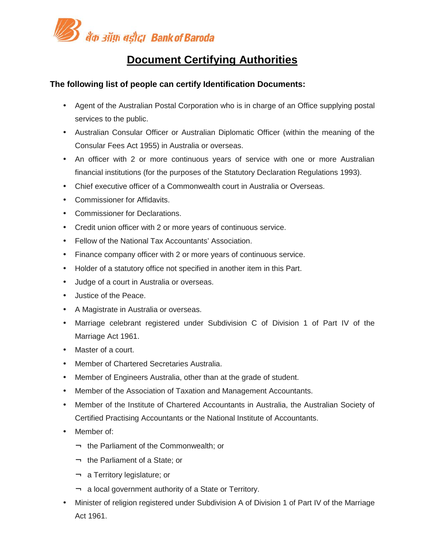

## **Document Certifying Authorities**

## **The following list of people can certify Identification Documents:**

- Agent of the Australian Postal Corporation who is in charge of an Office supplying postal services to the public.
- Australian Consular Officer or Australian Diplomatic Officer (within the meaning of the Consular Fees Act 1955) in Australia or overseas.
- An officer with 2 or more continuous years of service with one or more Australian financial institutions (for the purposes of the Statutory Declaration Regulations 1993).
- Chief executive officer of a Commonwealth court in Australia or Overseas.
- Commissioner for Affidavits.
- Commissioner for Declarations.
- Credit union officer with 2 or more years of continuous service.
- Fellow of the National Tax Accountants' Association.
- Finance company officer with 2 or more years of continuous service.
- Holder of a statutory office not specified in another item in this Part.
- Judge of a court in Australia or overseas.
- Justice of the Peace.
- A Magistrate in Australia or overseas.
- Marriage celebrant registered under Subdivision C of Division 1 of Part IV of the Marriage Act 1961.
- Master of a court.
- Member of Chartered Secretaries Australia.
- Member of Engineers Australia, other than at the grade of student.
- Member of the Association of Taxation and Management Accountants.
- Member of the Institute of Chartered Accountants in Australia, the Australian Society of Certified Practising Accountants or the National Institute of Accountants.
- Member of:
	- $\lnot$  the Parliament of the Commonwealth; or
	- $\lnot$  the Parliament of a State; or
	- $\lnot$  a Territory legislature; or
	- $\rightarrow$  a local government authority of a State or Territory.
- Minister of religion registered under Subdivision A of Division 1 of Part IV of the Marriage Act 1961.